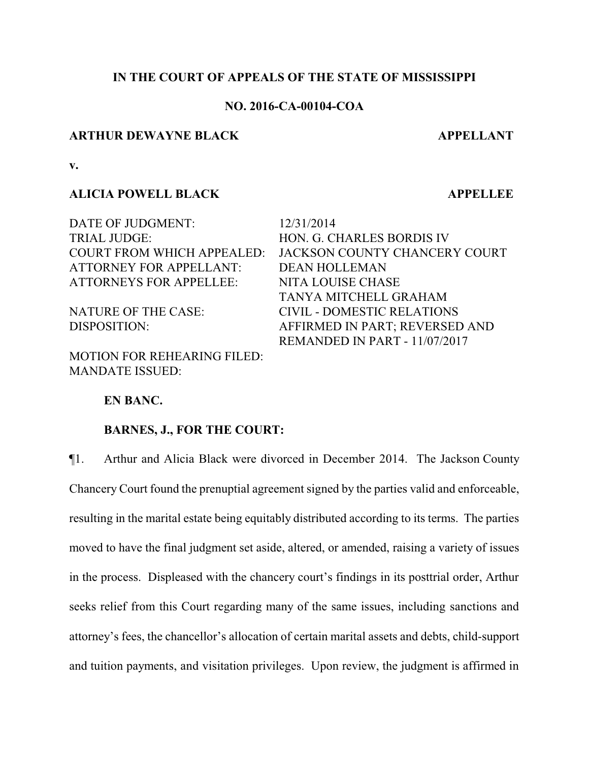## **IN THE COURT OF APPEALS OF THE STATE OF MISSISSIPPI**

## **NO. 2016-CA-00104-COA**

### **ARTHUR DEWAYNE BLACK APPELLANT**

**v.**

#### **ALICIA POWELL BLACK APPELLEE**

DATE OF JUDGMENT: 12/31/2014 TRIAL JUDGE: HON. G. CHARLES BORDIS IV ATTORNEY FOR APPELLANT: DEAN HOLLEMAN ATTORNEYS FOR APPELLEE: NITA LOUISE CHASE

MOTION FOR REHEARING FILED: MANDATE ISSUED:

COURT FROM WHICH APPEALED: JACKSON COUNTY CHANCERY COURT TANYA MITCHELL GRAHAM NATURE OF THE CASE: CIVIL - DOMESTIC RELATIONS DISPOSITION: AFFIRMED IN PART; REVERSED AND REMANDED IN PART - 11/07/2017

#### **EN BANC.**

### **BARNES, J., FOR THE COURT:**

¶1. Arthur and Alicia Black were divorced in December 2014. The Jackson County Chancery Court found the prenuptial agreement signed by the parties valid and enforceable, resulting in the marital estate being equitably distributed according to its terms. The parties moved to have the final judgment set aside, altered, or amended, raising a variety of issues in the process. Displeased with the chancery court's findings in its posttrial order, Arthur seeks relief from this Court regarding many of the same issues, including sanctions and attorney's fees, the chancellor's allocation of certain marital assets and debts, child-support and tuition payments, and visitation privileges. Upon review, the judgment is affirmed in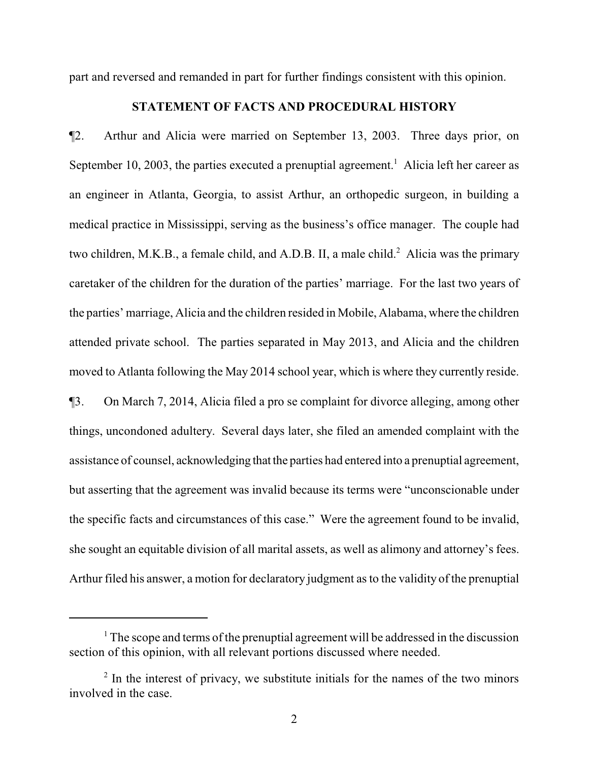part and reversed and remanded in part for further findings consistent with this opinion.

# **STATEMENT OF FACTS AND PROCEDURAL HISTORY**

¶2. Arthur and Alicia were married on September 13, 2003. Three days prior, on September 10, 2003, the parties executed a prenuptial agreement.<sup>1</sup> Alicia left her career as an engineer in Atlanta, Georgia, to assist Arthur, an orthopedic surgeon, in building a medical practice in Mississippi, serving as the business's office manager. The couple had two children, M.K.B., a female child, and A.D.B. II, a male child.<sup>2</sup> Alicia was the primary caretaker of the children for the duration of the parties' marriage. For the last two years of the parties' marriage, Alicia and the children resided in Mobile, Alabama, where the children attended private school. The parties separated in May 2013, and Alicia and the children moved to Atlanta following the May 2014 school year, which is where they currently reside. ¶3. On March 7, 2014, Alicia filed a pro se complaint for divorce alleging, among other things, uncondoned adultery. Several days later, she filed an amended complaint with the assistance of counsel, acknowledging that the parties had entered into a prenuptial agreement, but asserting that the agreement was invalid because its terms were "unconscionable under the specific facts and circumstances of this case." Were the agreement found to be invalid, she sought an equitable division of all marital assets, as well as alimony and attorney's fees. Arthur filed his answer, a motion for declaratory judgment as to the validity of the prenuptial

 $1$ <sup>1</sup>. The scope and terms of the prenuptial agreement will be addressed in the discussion section of this opinion, with all relevant portions discussed where needed.

<sup>&</sup>lt;sup>2</sup> In the interest of privacy, we substitute initials for the names of the two minors involved in the case.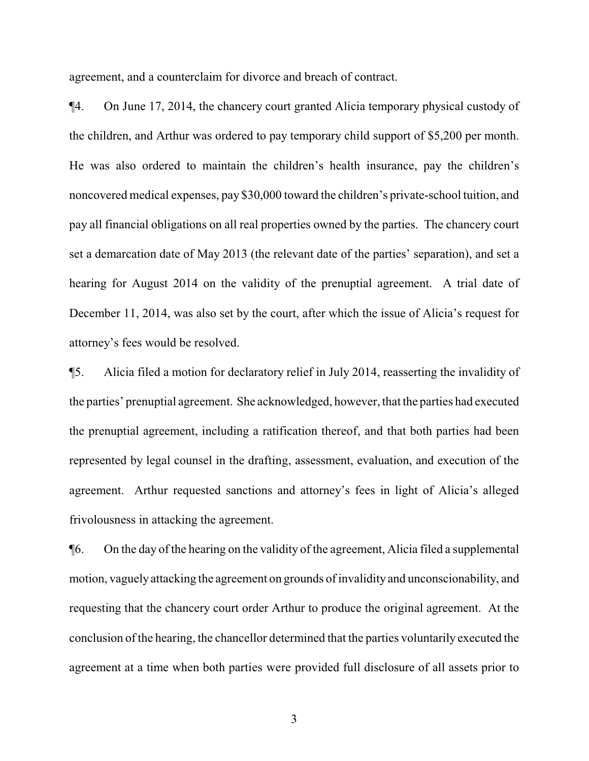agreement, and a counterclaim for divorce and breach of contract.

¶4. On June 17, 2014, the chancery court granted Alicia temporary physical custody of the children, and Arthur was ordered to pay temporary child support of \$5,200 per month. He was also ordered to maintain the children's health insurance, pay the children's noncovered medical expenses, pay \$30,000 toward the children's private-school tuition, and pay all financial obligations on all real properties owned by the parties. The chancery court set a demarcation date of May 2013 (the relevant date of the parties' separation), and set a hearing for August 2014 on the validity of the prenuptial agreement. A trial date of December 11, 2014, was also set by the court, after which the issue of Alicia's request for attorney's fees would be resolved.

¶5. Alicia filed a motion for declaratory relief in July 2014, reasserting the invalidity of the parties' prenuptial agreement. She acknowledged, however, that the parties had executed the prenuptial agreement, including a ratification thereof, and that both parties had been represented by legal counsel in the drafting, assessment, evaluation, and execution of the agreement. Arthur requested sanctions and attorney's fees in light of Alicia's alleged frivolousness in attacking the agreement.

¶6. On the day of the hearing on the validity of the agreement, Alicia filed a supplemental motion, vaguely attacking the agreement on grounds of invalidity and unconscionability, and requesting that the chancery court order Arthur to produce the original agreement. At the conclusion of the hearing, the chancellor determined that the parties voluntarily executed the agreement at a time when both parties were provided full disclosure of all assets prior to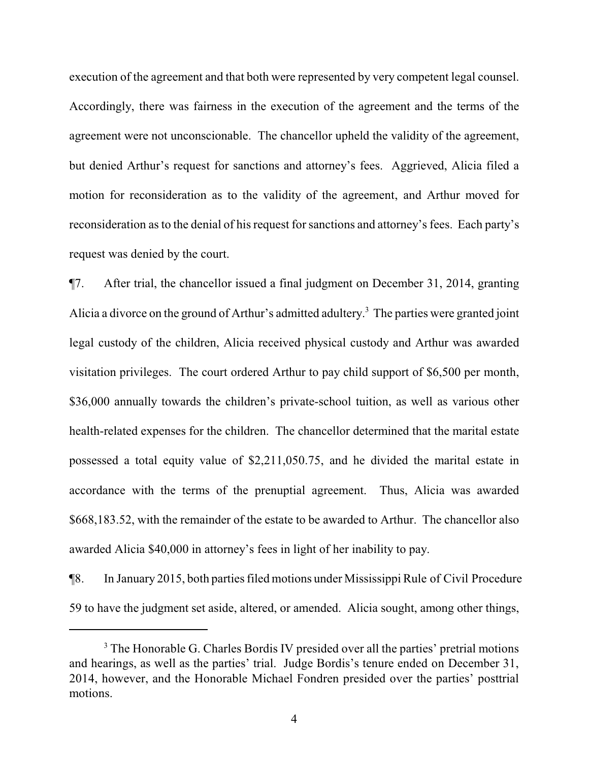execution of the agreement and that both were represented by very competent legal counsel. Accordingly, there was fairness in the execution of the agreement and the terms of the agreement were not unconscionable. The chancellor upheld the validity of the agreement, but denied Arthur's request for sanctions and attorney's fees. Aggrieved, Alicia filed a motion for reconsideration as to the validity of the agreement, and Arthur moved for reconsideration as to the denial of his request for sanctions and attorney's fees. Each party's request was denied by the court.

¶7. After trial, the chancellor issued a final judgment on December 31, 2014, granting Alicia a divorce on the ground of Arthur's admitted adultery.<sup>3</sup> The parties were granted joint legal custody of the children, Alicia received physical custody and Arthur was awarded visitation privileges. The court ordered Arthur to pay child support of \$6,500 per month, \$36,000 annually towards the children's private-school tuition, as well as various other health-related expenses for the children. The chancellor determined that the marital estate possessed a total equity value of \$2,211,050.75, and he divided the marital estate in accordance with the terms of the prenuptial agreement. Thus, Alicia was awarded \$668,183.52, with the remainder of the estate to be awarded to Arthur. The chancellor also awarded Alicia \$40,000 in attorney's fees in light of her inability to pay.

¶8. In January 2015, both parties filed motions under Mississippi Rule of Civil Procedure 59 to have the judgment set aside, altered, or amended. Alicia sought, among other things,

<sup>&</sup>lt;sup>3</sup> The Honorable G. Charles Bordis IV presided over all the parties' pretrial motions and hearings, as well as the parties' trial. Judge Bordis's tenure ended on December 31, 2014, however, and the Honorable Michael Fondren presided over the parties' posttrial motions.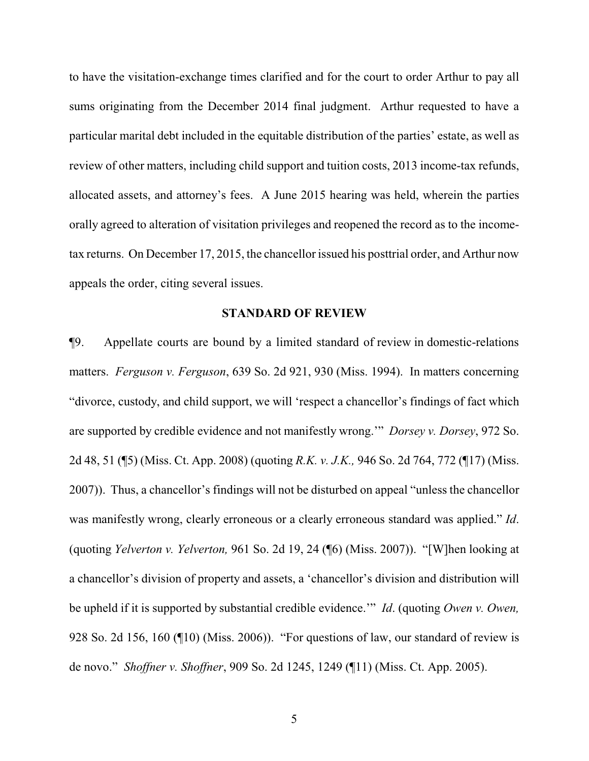to have the visitation-exchange times clarified and for the court to order Arthur to pay all sums originating from the December 2014 final judgment. Arthur requested to have a particular marital debt included in the equitable distribution of the parties' estate, as well as review of other matters, including child support and tuition costs, 2013 income-tax refunds, allocated assets, and attorney's fees. A June 2015 hearing was held, wherein the parties orally agreed to alteration of visitation privileges and reopened the record as to the incometax returns. On December 17, 2015, the chancellor issued his posttrial order, and Arthur now appeals the order, citing several issues.

#### **STANDARD OF REVIEW**

¶9. Appellate courts are bound by a limited standard of review in domestic-relations matters. *Ferguson v. Ferguson*, 639 So. 2d 921, 930 (Miss. 1994). In matters concerning "divorce, custody, and child support, we will 'respect a chancellor's findings of fact which are supported by credible evidence and not manifestly wrong.'" *Dorsey v. Dorsey*, 972 So. 2d 48, 51 (¶5) (Miss. Ct. App. 2008) (quoting *R.K. v. J.K.,* 946 So. 2d 764, 772 (¶17) (Miss. 2007)). Thus, a chancellor's findings will not be disturbed on appeal "unless the chancellor was manifestly wrong, clearly erroneous or a clearly erroneous standard was applied." *Id*. (quoting *Yelverton v. Yelverton,* 961 So. 2d 19, 24 (¶6) (Miss. 2007)). "[W]hen looking at a chancellor's division of property and assets, a 'chancellor's division and distribution will be upheld if it is supported by substantial credible evidence.'" *Id*. (quoting *Owen v. Owen,* 928 So. 2d 156, 160 (¶10) (Miss. 2006)). "For questions of law, our standard of review is de novo." *Shoffner v. Shoffner*, 909 So. 2d 1245, 1249 (¶11) (Miss. Ct. App. 2005).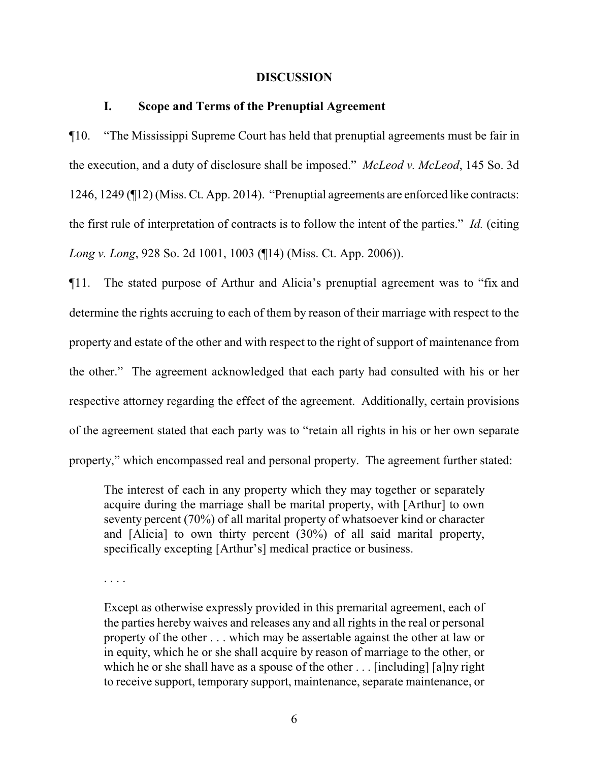#### **DISCUSSION**

## **I. Scope and Terms of the Prenuptial Agreement**

¶10. "The Mississippi Supreme Court has held that prenuptial agreements must be fair in the execution, and a duty of disclosure shall be imposed." *McLeod v. McLeod*, 145 So. 3d 1246, 1249 (¶12) (Miss. Ct. App. 2014). "Prenuptial agreements are enforced like contracts: the first rule of interpretation of contracts is to follow the intent of the parties." *Id.* (citing *Long v. Long*, 928 So. 2d 1001, 1003 (¶14) (Miss. Ct. App. 2006)).

¶11. The stated purpose of Arthur and Alicia's prenuptial agreement was to "fix and determine the rights accruing to each of them by reason of their marriage with respect to the property and estate of the other and with respect to the right of support of maintenance from the other." The agreement acknowledged that each party had consulted with his or her respective attorney regarding the effect of the agreement. Additionally, certain provisions of the agreement stated that each party was to "retain all rights in his or her own separate property," which encompassed real and personal property. The agreement further stated:

The interest of each in any property which they may together or separately acquire during the marriage shall be marital property, with [Arthur] to own seventy percent (70%) of all marital property of whatsoever kind or character and [Alicia] to own thirty percent (30%) of all said marital property, specifically excepting [Arthur's] medical practice or business.

. . . .

Except as otherwise expressly provided in this premarital agreement, each of the parties hereby waives and releases any and all rights in the real or personal property of the other . . . which may be assertable against the other at law or in equity, which he or she shall acquire by reason of marriage to the other, or which he or she shall have as a spouse of the other . . . [including] [a]ny right to receive support, temporary support, maintenance, separate maintenance, or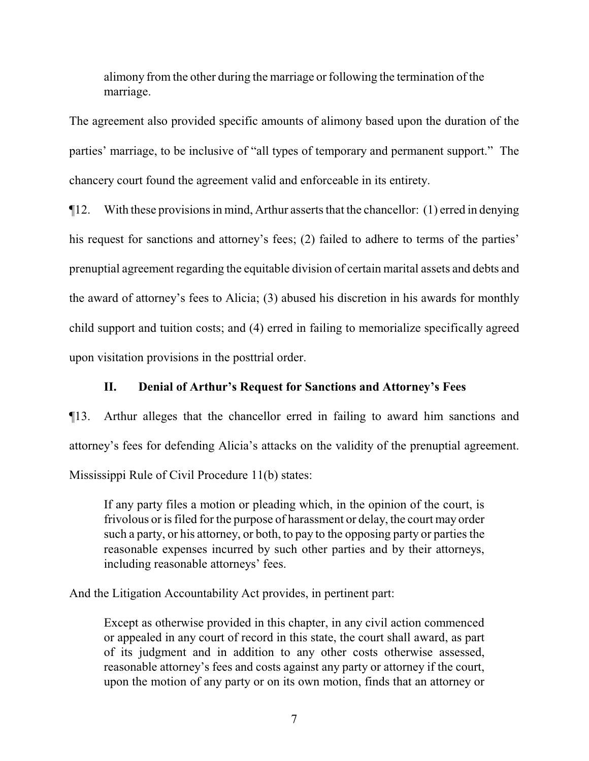alimony from the other during the marriage or following the termination of the marriage.

The agreement also provided specific amounts of alimony based upon the duration of the parties' marriage, to be inclusive of "all types of temporary and permanent support." The chancery court found the agreement valid and enforceable in its entirety.

¶12. With these provisions in mind, Arthur asserts that the chancellor: (1) erred in denying his request for sanctions and attorney's fees; (2) failed to adhere to terms of the parties' prenuptial agreement regarding the equitable division of certain marital assets and debts and the award of attorney's fees to Alicia; (3) abused his discretion in his awards for monthly child support and tuition costs; and (4) erred in failing to memorialize specifically agreed upon visitation provisions in the posttrial order.

## **II. Denial of Arthur's Request for Sanctions and Attorney's Fees**

¶13. Arthur alleges that the chancellor erred in failing to award him sanctions and attorney's fees for defending Alicia's attacks on the validity of the prenuptial agreement. Mississippi Rule of Civil Procedure 11(b) states:

If any party files a motion or pleading which, in the opinion of the court, is frivolous or is filed for the purpose of harassment or delay, the court may order such a party, or his attorney, or both, to pay to the opposing party or parties the reasonable expenses incurred by such other parties and by their attorneys, including reasonable attorneys' fees.

And the Litigation Accountability Act provides, in pertinent part:

Except as otherwise provided in this chapter, in any civil action commenced or appealed in any court of record in this state, the court shall award, as part of its judgment and in addition to any other costs otherwise assessed, reasonable attorney's fees and costs against any party or attorney if the court, upon the motion of any party or on its own motion, finds that an attorney or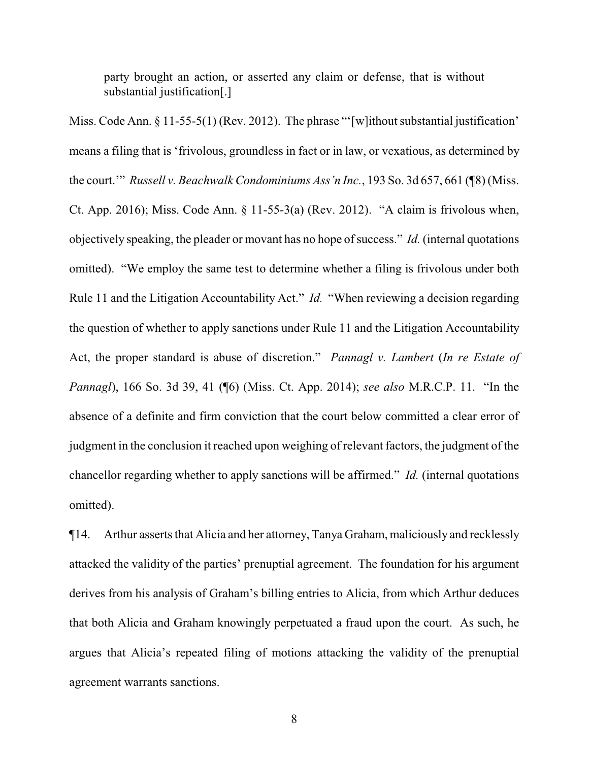party brought an action, or asserted any claim or defense, that is without substantial justification[.]

Miss. Code Ann. § 11-55-5(1) (Rev. 2012). The phrase "'[w] ithout substantial justification' means a filing that is 'frivolous, groundless in fact or in law, or vexatious, as determined by the court.'" *Russell v. Beachwalk Condominiums Ass'n Inc.*, 193 So. 3d 657, 661 (¶8) (Miss. Ct. App. 2016); Miss. Code Ann. § 11-55-3(a) (Rev. 2012). "A claim is frivolous when, objectively speaking, the pleader or movant has no hope of success." *Id.* (internal quotations omitted). "We employ the same test to determine whether a filing is frivolous under both Rule 11 and the Litigation Accountability Act." *Id.* "When reviewing a decision regarding the question of whether to apply sanctions under Rule 11 and the Litigation Accountability Act, the proper standard is abuse of discretion." *Pannagl v. Lambert* (*In re Estate of Pannagl*), 166 So. 3d 39, 41 (¶6) (Miss. Ct. App. 2014); *see also* M.R.C.P. 11. "In the absence of a definite and firm conviction that the court below committed a clear error of judgment in the conclusion it reached upon weighing of relevant factors, the judgment of the chancellor regarding whether to apply sanctions will be affirmed." *Id.* (internal quotations omitted).

¶14. Arthur asserts that Alicia and her attorney, Tanya Graham, maliciously and recklessly attacked the validity of the parties' prenuptial agreement. The foundation for his argument derives from his analysis of Graham's billing entries to Alicia, from which Arthur deduces that both Alicia and Graham knowingly perpetuated a fraud upon the court. As such, he argues that Alicia's repeated filing of motions attacking the validity of the prenuptial agreement warrants sanctions.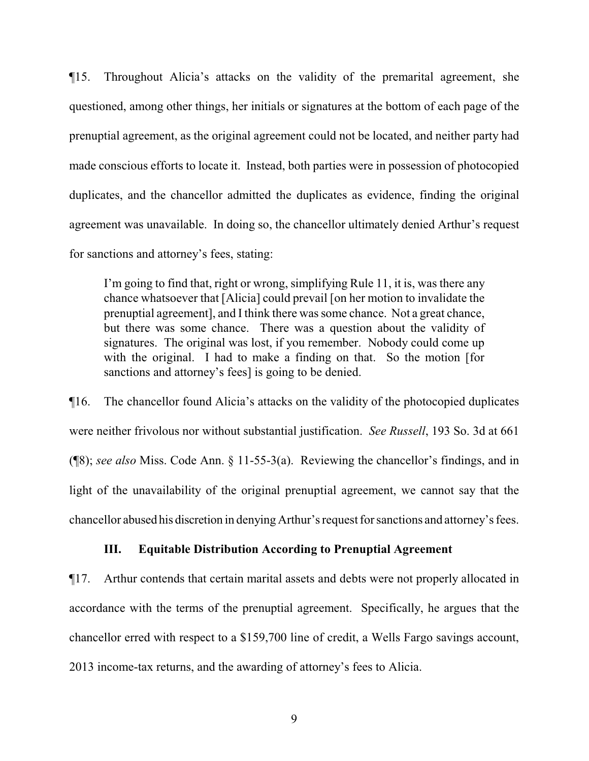¶15. Throughout Alicia's attacks on the validity of the premarital agreement, she questioned, among other things, her initials or signatures at the bottom of each page of the prenuptial agreement, as the original agreement could not be located, and neither party had made conscious efforts to locate it. Instead, both parties were in possession of photocopied duplicates, and the chancellor admitted the duplicates as evidence, finding the original agreement was unavailable. In doing so, the chancellor ultimately denied Arthur's request for sanctions and attorney's fees, stating:

I'm going to find that, right or wrong, simplifying Rule 11, it is, was there any chance whatsoever that [Alicia] could prevail [on her motion to invalidate the prenuptial agreement], and I think there was some chance. Not a great chance, but there was some chance. There was a question about the validity of signatures. The original was lost, if you remember. Nobody could come up with the original. I had to make a finding on that. So the motion [for sanctions and attorney's fees] is going to be denied.

¶16. The chancellor found Alicia's attacks on the validity of the photocopied duplicates were neither frivolous nor without substantial justification. *See Russell*, 193 So. 3d at 661 (¶8); *see also* Miss. Code Ann. § 11-55-3(a). Reviewing the chancellor's findings, and in light of the unavailability of the original prenuptial agreement, we cannot say that the chancellor abused his discretion in denying Arthur's request for sanctions and attorney's fees.

### **III. Equitable Distribution According to Prenuptial Agreement**

¶17. Arthur contends that certain marital assets and debts were not properly allocated in accordance with the terms of the prenuptial agreement. Specifically, he argues that the chancellor erred with respect to a \$159,700 line of credit, a Wells Fargo savings account, 2013 income-tax returns, and the awarding of attorney's fees to Alicia.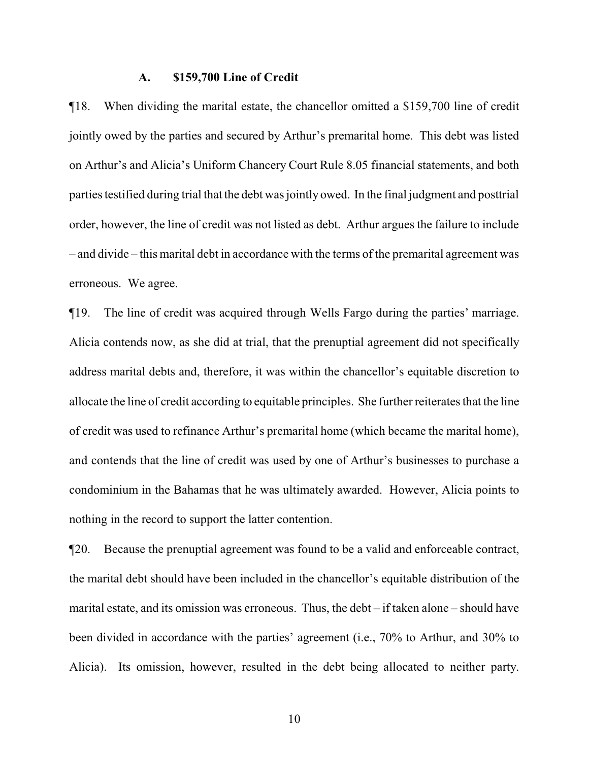#### **A. \$159,700 Line of Credit**

¶18. When dividing the marital estate, the chancellor omitted a \$159,700 line of credit jointly owed by the parties and secured by Arthur's premarital home. This debt was listed on Arthur's and Alicia's Uniform Chancery Court Rule 8.05 financial statements, and both parties testified during trial that the debt was jointly owed. In the final judgment and posttrial order, however, the line of credit was not listed as debt. Arthur argues the failure to include – and divide – this marital debt in accordance with the terms of the premarital agreement was erroneous. We agree.

¶19. The line of credit was acquired through Wells Fargo during the parties' marriage. Alicia contends now, as she did at trial, that the prenuptial agreement did not specifically address marital debts and, therefore, it was within the chancellor's equitable discretion to allocate the line of credit according to equitable principles. She further reiterates that the line of credit was used to refinance Arthur's premarital home (which became the marital home), and contends that the line of credit was used by one of Arthur's businesses to purchase a condominium in the Bahamas that he was ultimately awarded. However, Alicia points to nothing in the record to support the latter contention.

¶20. Because the prenuptial agreement was found to be a valid and enforceable contract, the marital debt should have been included in the chancellor's equitable distribution of the marital estate, and its omission was erroneous. Thus, the debt – if taken alone – should have been divided in accordance with the parties' agreement (i.e., 70% to Arthur, and 30% to Alicia). Its omission, however, resulted in the debt being allocated to neither party.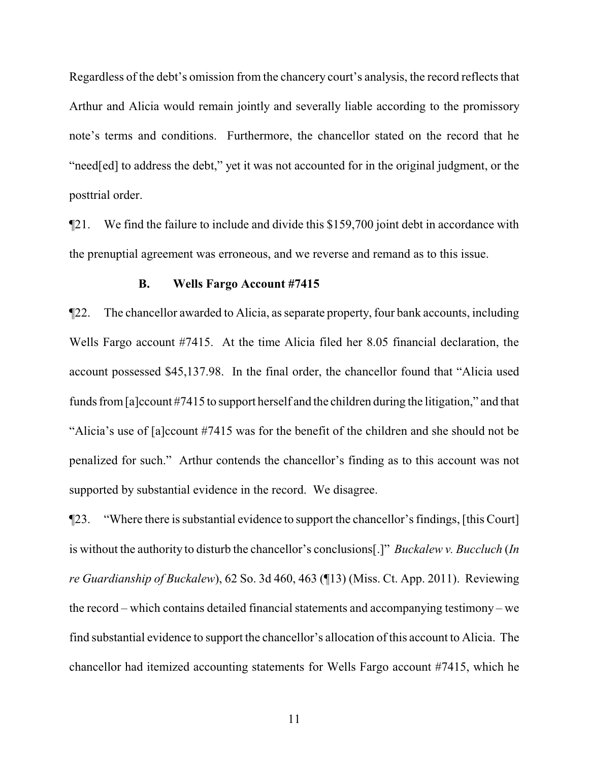Regardless of the debt's omission from the chancery court's analysis, the record reflects that Arthur and Alicia would remain jointly and severally liable according to the promissory note's terms and conditions. Furthermore, the chancellor stated on the record that he "need[ed] to address the debt," yet it was not accounted for in the original judgment, or the posttrial order.

¶21. We find the failure to include and divide this \$159,700 joint debt in accordance with the prenuptial agreement was erroneous, and we reverse and remand as to this issue.

#### **B. Wells Fargo Account #7415**

¶22. The chancellor awarded to Alicia, as separate property, four bank accounts, including Wells Fargo account #7415. At the time Alicia filed her 8.05 financial declaration, the account possessed \$45,137.98. In the final order, the chancellor found that "Alicia used funds from[a]ccount #7415 to support herself and the children during the litigation," and that "Alicia's use of [a]ccount #7415 was for the benefit of the children and she should not be penalized for such." Arthur contends the chancellor's finding as to this account was not supported by substantial evidence in the record. We disagree.

¶23. "Where there is substantial evidence to support the chancellor's findings, [this Court] is without the authority to disturb the chancellor's conclusions[.]" *Buckalew v. Buccluch* (*In re Guardianship of Buckalew*), 62 So. 3d 460, 463 (¶13) (Miss. Ct. App. 2011). Reviewing the record – which contains detailed financial statements and accompanying testimony – we find substantial evidence to support the chancellor's allocation of this account to Alicia. The chancellor had itemized accounting statements for Wells Fargo account #7415, which he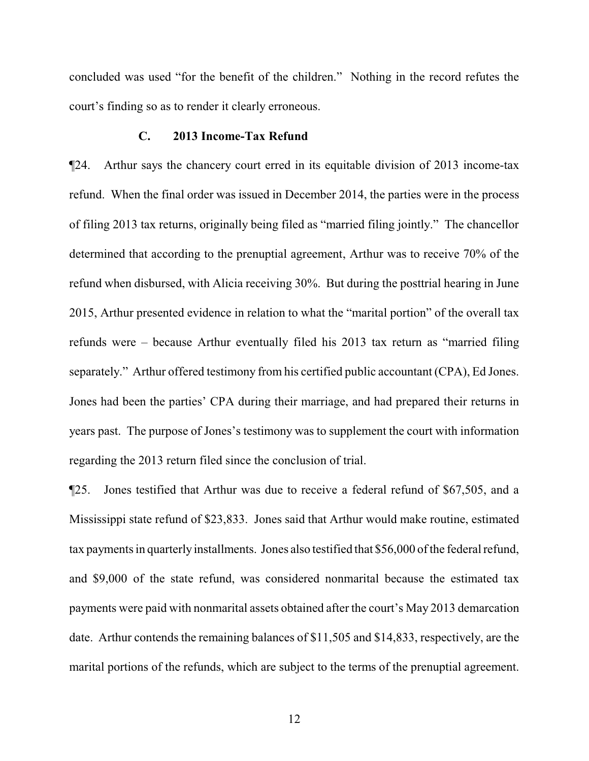concluded was used "for the benefit of the children." Nothing in the record refutes the court's finding so as to render it clearly erroneous.

#### **C. 2013 Income-Tax Refund**

¶24. Arthur says the chancery court erred in its equitable division of 2013 income-tax refund. When the final order was issued in December 2014, the parties were in the process of filing 2013 tax returns, originally being filed as "married filing jointly." The chancellor determined that according to the prenuptial agreement, Arthur was to receive 70% of the refund when disbursed, with Alicia receiving 30%. But during the posttrial hearing in June 2015, Arthur presented evidence in relation to what the "marital portion" of the overall tax refunds were – because Arthur eventually filed his 2013 tax return as "married filing separately." Arthur offered testimony from his certified public accountant (CPA), Ed Jones. Jones had been the parties' CPA during their marriage, and had prepared their returns in years past. The purpose of Jones's testimony was to supplement the court with information regarding the 2013 return filed since the conclusion of trial.

¶25. Jones testified that Arthur was due to receive a federal refund of \$67,505, and a Mississippi state refund of \$23,833. Jones said that Arthur would make routine, estimated tax payments in quarterly installments. Jones also testified that \$56,000 ofthe federal refund, and \$9,000 of the state refund, was considered nonmarital because the estimated tax payments were paid with nonmarital assets obtained after the court's May 2013 demarcation date. Arthur contends the remaining balances of \$11,505 and \$14,833, respectively, are the marital portions of the refunds, which are subject to the terms of the prenuptial agreement.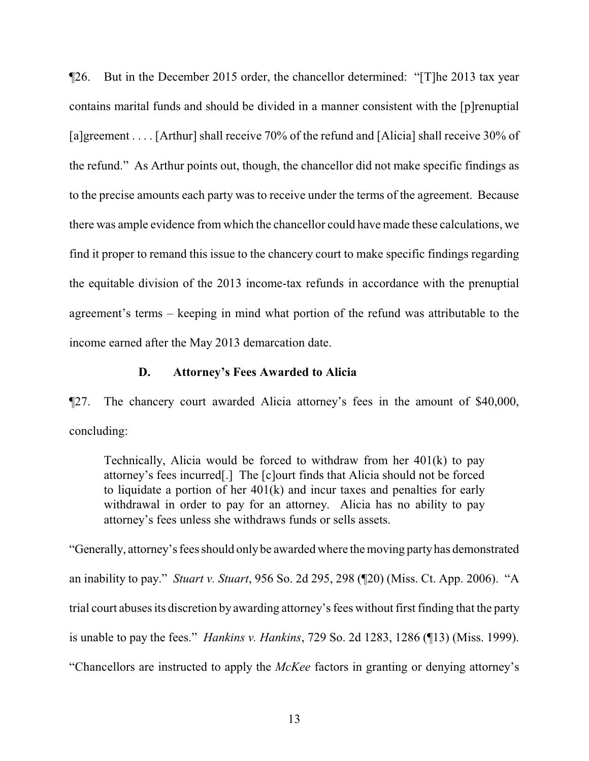¶26. But in the December 2015 order, the chancellor determined: "[T]he 2013 tax year contains marital funds and should be divided in a manner consistent with the [p]renuptial [a]greement . . . . [Arthur] shall receive 70% of the refund and [Alicia] shall receive 30% of the refund." As Arthur points out, though, the chancellor did not make specific findings as to the precise amounts each party was to receive under the terms of the agreement. Because there was ample evidence from which the chancellor could have made these calculations, we find it proper to remand this issue to the chancery court to make specific findings regarding the equitable division of the 2013 income-tax refunds in accordance with the prenuptial agreement's terms – keeping in mind what portion of the refund was attributable to the income earned after the May 2013 demarcation date.

## **D. Attorney's Fees Awarded to Alicia**

¶27. The chancery court awarded Alicia attorney's fees in the amount of \$40,000, concluding:

Technically, Alicia would be forced to withdraw from her 401(k) to pay attorney's fees incurred[.] The [c]ourt finds that Alicia should not be forced to liquidate a portion of her 401(k) and incur taxes and penalties for early withdrawal in order to pay for an attorney. Alicia has no ability to pay attorney's fees unless she withdraws funds or sells assets.

"Generally, attorney's fees should onlybe awarded where the moving partyhas demonstrated an inability to pay." *Stuart v. Stuart*, 956 So. 2d 295, 298 (¶20) (Miss. Ct. App. 2006). "A trial court abuses its discretion by awarding attorney's fees without first finding that the party is unable to pay the fees." *Hankins v. Hankins*, 729 So. 2d 1283, 1286 (¶13) (Miss. 1999). "Chancellors are instructed to apply the *McKee* factors in granting or denying attorney's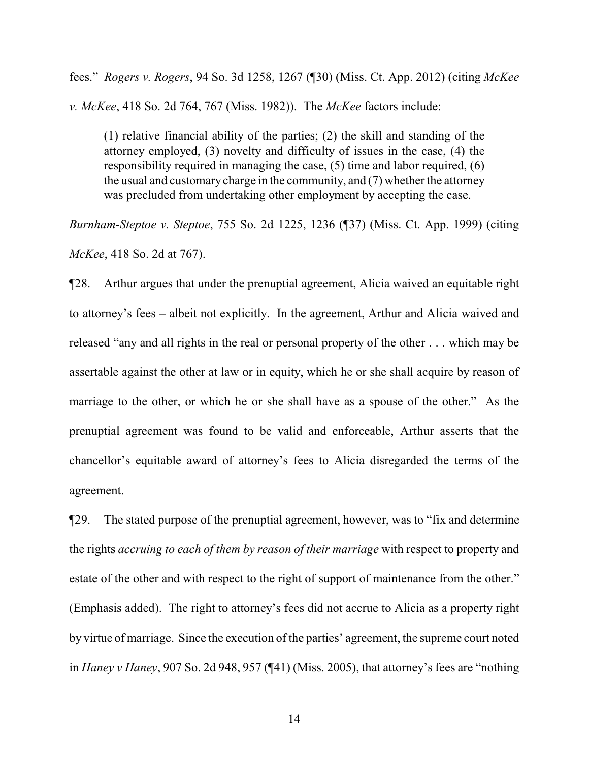fees." *Rogers v. Rogers*, 94 So. 3d 1258, 1267 (¶30) (Miss. Ct. App. 2012) (citing *McKee v. McKee*, 418 So. 2d 764, 767 (Miss. 1982)). The *McKee* factors include:

(1) relative financial ability of the parties; (2) the skill and standing of the attorney employed, (3) novelty and difficulty of issues in the case, (4) the responsibility required in managing the case, (5) time and labor required, (6) the usual and customary charge in the community, and (7) whether the attorney was precluded from undertaking other employment by accepting the case.

*Burnham-Steptoe v. Steptoe*, 755 So. 2d 1225, 1236 (¶37) (Miss. Ct. App. 1999) (citing *McKee*, 418 So. 2d at 767).

¶28. Arthur argues that under the prenuptial agreement, Alicia waived an equitable right to attorney's fees – albeit not explicitly. In the agreement, Arthur and Alicia waived and released "any and all rights in the real or personal property of the other . . . which may be assertable against the other at law or in equity, which he or she shall acquire by reason of marriage to the other, or which he or she shall have as a spouse of the other." As the prenuptial agreement was found to be valid and enforceable, Arthur asserts that the chancellor's equitable award of attorney's fees to Alicia disregarded the terms of the agreement.

¶29. The stated purpose of the prenuptial agreement, however, was to "fix and determine the rights *accruing to each of them by reason of their marriage* with respect to property and estate of the other and with respect to the right of support of maintenance from the other." (Emphasis added). The right to attorney's fees did not accrue to Alicia as a property right by virtue of marriage. Since the execution of the parties' agreement, the supreme court noted in *Haney v Haney*, 907 So. 2d 948, 957 (¶41) (Miss. 2005), that attorney's fees are "nothing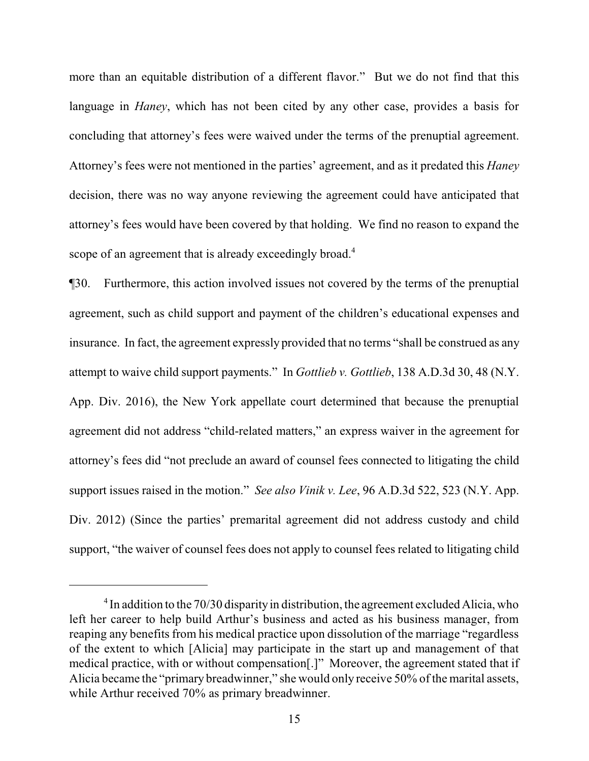more than an equitable distribution of a different flavor." But we do not find that this language in *Haney*, which has not been cited by any other case, provides a basis for concluding that attorney's fees were waived under the terms of the prenuptial agreement. Attorney's fees were not mentioned in the parties' agreement, and as it predated this *Haney* decision, there was no way anyone reviewing the agreement could have anticipated that attorney's fees would have been covered by that holding. We find no reason to expand the scope of an agreement that is already exceedingly broad.<sup>4</sup>

¶30. Furthermore, this action involved issues not covered by the terms of the prenuptial agreement, such as child support and payment of the children's educational expenses and insurance. In fact, the agreement expressly provided that no terms "shall be construed as any attempt to waive child support payments." In *Gottlieb v. Gottlieb*, 138 A.D.3d 30, 48 (N.Y. App. Div. 2016), the New York appellate court determined that because the prenuptial agreement did not address "child-related matters," an express waiver in the agreement for attorney's fees did "not preclude an award of counsel fees connected to litigating the child support issues raised in the motion." *See also Vinik v. Lee*, 96 A.D.3d 522, 523 (N.Y. App. Div. 2012) (Since the parties' premarital agreement did not address custody and child support, "the waiver of counsel fees does not apply to counsel fees related to litigating child

 $4$  In addition to the 70/30 disparity in distribution, the agreement excluded Alicia, who left her career to help build Arthur's business and acted as his business manager, from reaping any benefits from his medical practice upon dissolution of the marriage "regardless of the extent to which [Alicia] may participate in the start up and management of that medical practice, with or without compensation[.]" Moreover, the agreement stated that if Alicia became the "primary breadwinner," she would only receive 50% of the marital assets, while Arthur received 70% as primary breadwinner.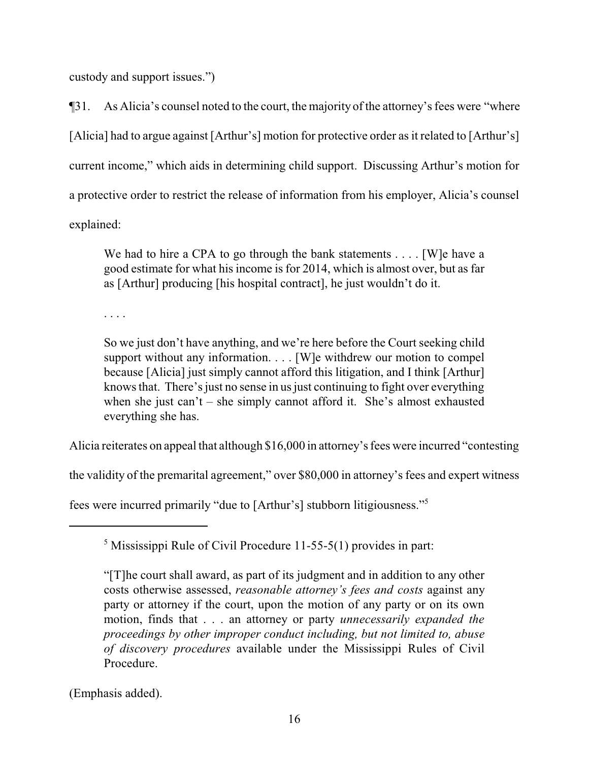custody and support issues.")

¶31. As Alicia's counsel noted to the court, the majority of the attorney's fees were "where [Alicia] had to argue against [Arthur's] motion for protective order as it related to [Arthur's] current income," which aids in determining child support. Discussing Arthur's motion for a protective order to restrict the release of information from his employer, Alicia's counsel explained:

We had to hire a CPA to go through the bank statements . . . . [W] e have a good estimate for what his income is for 2014, which is almost over, but as far as [Arthur] producing [his hospital contract], he just wouldn't do it.

. . . .

So we just don't have anything, and we're here before the Court seeking child support without any information. . . . [W]e withdrew our motion to compel because [Alicia] just simply cannot afford this litigation, and I think [Arthur] knows that. There's just no sense in us just continuing to fight over everything when she just can't – she simply cannot afford it. She's almost exhausted everything she has.

Alicia reiterates on appeal that although \$16,000 in attorney's fees were incurred "contesting

the validity of the premarital agreement," over \$80,000 in attorney's fees and expert witness

fees were incurred primarily "due to [Arthur's] stubborn litigiousness."<sup>5</sup>

<sup>5</sup> Mississippi Rule of Civil Procedure 11-55-5(1) provides in part:

(Emphasis added).

<sup>&</sup>quot;[T]he court shall award, as part of its judgment and in addition to any other costs otherwise assessed, *reasonable attorney's fees and costs* against any party or attorney if the court, upon the motion of any party or on its own motion, finds that . . . an attorney or party *unnecessarily expanded the proceedings by other improper conduct including, but not limited to, abuse of discovery procedures* available under the Mississippi Rules of Civil Procedure.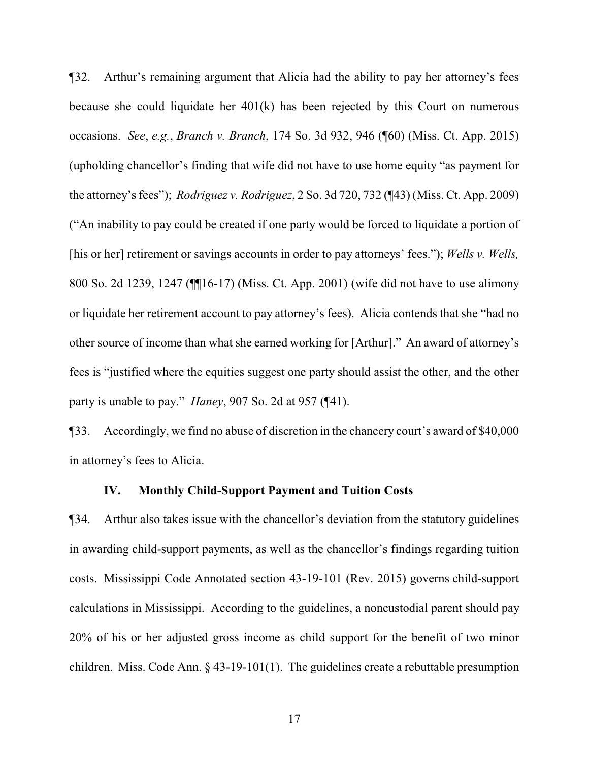¶32. Arthur's remaining argument that Alicia had the ability to pay her attorney's fees because she could liquidate her 401(k) has been rejected by this Court on numerous occasions. *See*, *e.g.*, *Branch v. Branch*, 174 So. 3d 932, 946 (¶60) (Miss. Ct. App. 2015) (upholding chancellor's finding that wife did not have to use home equity "as payment for the attorney's fees"); *Rodriguez v. Rodriguez*, 2 So. 3d 720, 732 (¶43) (Miss. Ct. App. 2009) ("An inability to pay could be created if one party would be forced to liquidate a portion of [his or her] retirement or savings accounts in order to pay attorneys' fees."); *Wells v. Wells,* 800 So. 2d 1239, 1247 (¶¶16-17) (Miss. Ct. App. 2001) (wife did not have to use alimony or liquidate her retirement account to pay attorney's fees). Alicia contends that she "had no other source of income than what she earned working for [Arthur]." An award of attorney's fees is "justified where the equities suggest one party should assist the other, and the other party is unable to pay." *Haney*, 907 So. 2d at 957 (¶41).

¶33. Accordingly, we find no abuse of discretion in the chancery court's award of \$40,000 in attorney's fees to Alicia.

### **IV. Monthly Child-Support Payment and Tuition Costs**

¶34. Arthur also takes issue with the chancellor's deviation from the statutory guidelines in awarding child-support payments, as well as the chancellor's findings regarding tuition costs. Mississippi Code Annotated section 43-19-101 (Rev. 2015) governs child-support calculations in Mississippi. According to the guidelines, a noncustodial parent should pay 20% of his or her adjusted gross income as child support for the benefit of two minor children. Miss. Code Ann. § 43-19-101(1). The guidelines create a rebuttable presumption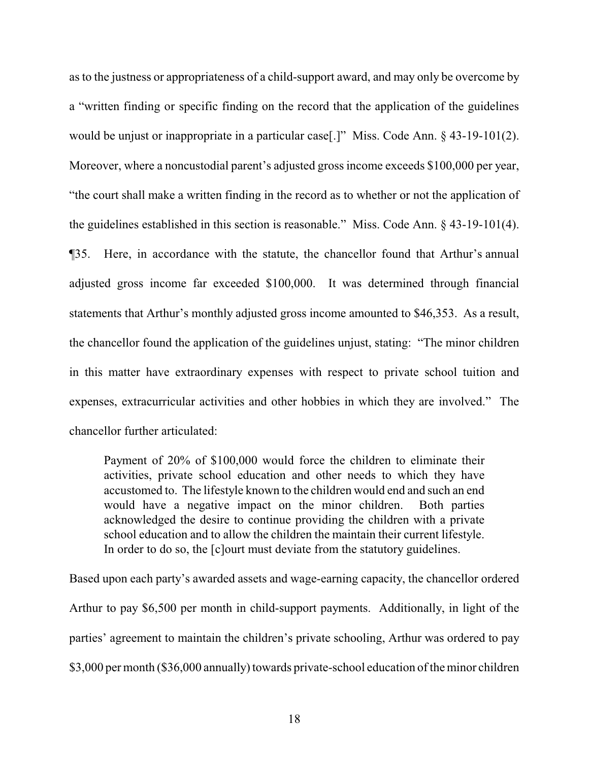as to the justness or appropriateness of a child-support award, and may only be overcome by a "written finding or specific finding on the record that the application of the guidelines would be unjust or inappropriate in a particular case[.]" Miss. Code Ann. § 43-19-101(2). Moreover, where a noncustodial parent's adjusted gross income exceeds \$100,000 per year, "the court shall make a written finding in the record as to whether or not the application of the guidelines established in this section is reasonable." Miss. Code Ann. § 43-19-101(4). ¶35. Here, in accordance with the statute, the chancellor found that Arthur's annual adjusted gross income far exceeded \$100,000. It was determined through financial statements that Arthur's monthly adjusted gross income amounted to \$46,353. As a result, the chancellor found the application of the guidelines unjust, stating: "The minor children in this matter have extraordinary expenses with respect to private school tuition and expenses, extracurricular activities and other hobbies in which they are involved." The chancellor further articulated:

Payment of 20% of \$100,000 would force the children to eliminate their activities, private school education and other needs to which they have accustomed to. The lifestyle known to the children would end and such an end would have a negative impact on the minor children. Both parties acknowledged the desire to continue providing the children with a private school education and to allow the children the maintain their current lifestyle. In order to do so, the [c]ourt must deviate from the statutory guidelines.

Based upon each party's awarded assets and wage-earning capacity, the chancellor ordered Arthur to pay \$6,500 per month in child-support payments. Additionally, in light of the parties' agreement to maintain the children's private schooling, Arthur was ordered to pay \$3,000 per month (\$36,000 annually) towards private-school education of the minor children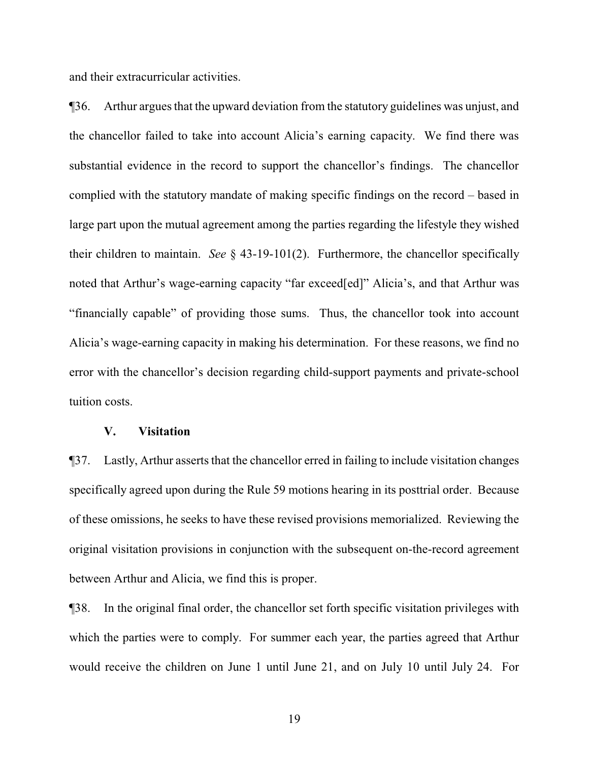and their extracurricular activities.

¶36. Arthur argues that the upward deviation from the statutory guidelines was unjust, and the chancellor failed to take into account Alicia's earning capacity. We find there was substantial evidence in the record to support the chancellor's findings. The chancellor complied with the statutory mandate of making specific findings on the record – based in large part upon the mutual agreement among the parties regarding the lifestyle they wished their children to maintain. *See* § 43-19-101(2). Furthermore, the chancellor specifically noted that Arthur's wage-earning capacity "far exceed[ed]" Alicia's, and that Arthur was "financially capable" of providing those sums. Thus, the chancellor took into account Alicia's wage-earning capacity in making his determination. For these reasons, we find no error with the chancellor's decision regarding child-support payments and private-school tuition costs.

## **V. Visitation**

¶37. Lastly, Arthur asserts that the chancellor erred in failing to include visitation changes specifically agreed upon during the Rule 59 motions hearing in its posttrial order. Because of these omissions, he seeks to have these revised provisions memorialized. Reviewing the original visitation provisions in conjunction with the subsequent on-the-record agreement between Arthur and Alicia, we find this is proper.

¶38. In the original final order, the chancellor set forth specific visitation privileges with which the parties were to comply. For summer each year, the parties agreed that Arthur would receive the children on June 1 until June 21, and on July 10 until July 24. For

19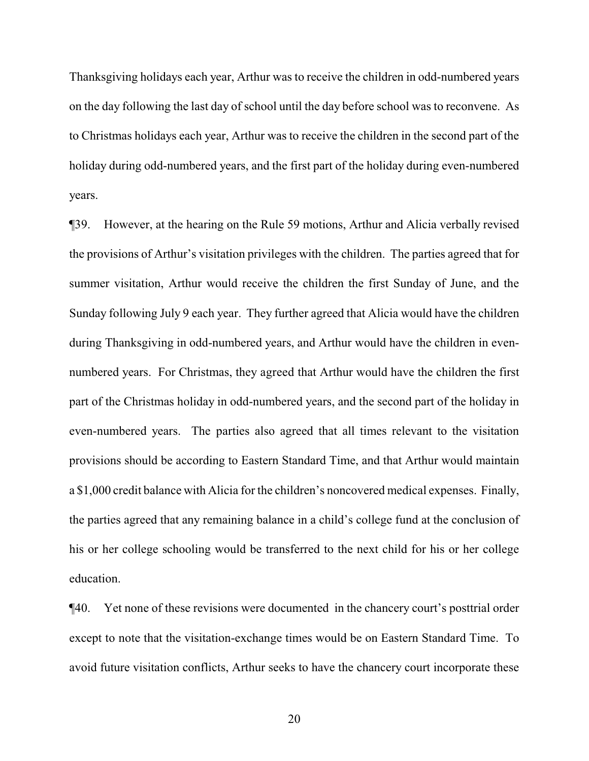Thanksgiving holidays each year, Arthur was to receive the children in odd-numbered years on the day following the last day of school until the day before school was to reconvene. As to Christmas holidays each year, Arthur was to receive the children in the second part of the holiday during odd-numbered years, and the first part of the holiday during even-numbered years.

¶39. However, at the hearing on the Rule 59 motions, Arthur and Alicia verbally revised the provisions of Arthur's visitation privileges with the children. The parties agreed that for summer visitation, Arthur would receive the children the first Sunday of June, and the Sunday following July 9 each year. They further agreed that Alicia would have the children during Thanksgiving in odd-numbered years, and Arthur would have the children in evennumbered years. For Christmas, they agreed that Arthur would have the children the first part of the Christmas holiday in odd-numbered years, and the second part of the holiday in even-numbered years. The parties also agreed that all times relevant to the visitation provisions should be according to Eastern Standard Time, and that Arthur would maintain a \$1,000 credit balance with Alicia for the children's noncovered medical expenses. Finally, the parties agreed that any remaining balance in a child's college fund at the conclusion of his or her college schooling would be transferred to the next child for his or her college education.

¶40. Yet none of these revisions were documented in the chancery court's posttrial order except to note that the visitation-exchange times would be on Eastern Standard Time. To avoid future visitation conflicts, Arthur seeks to have the chancery court incorporate these

20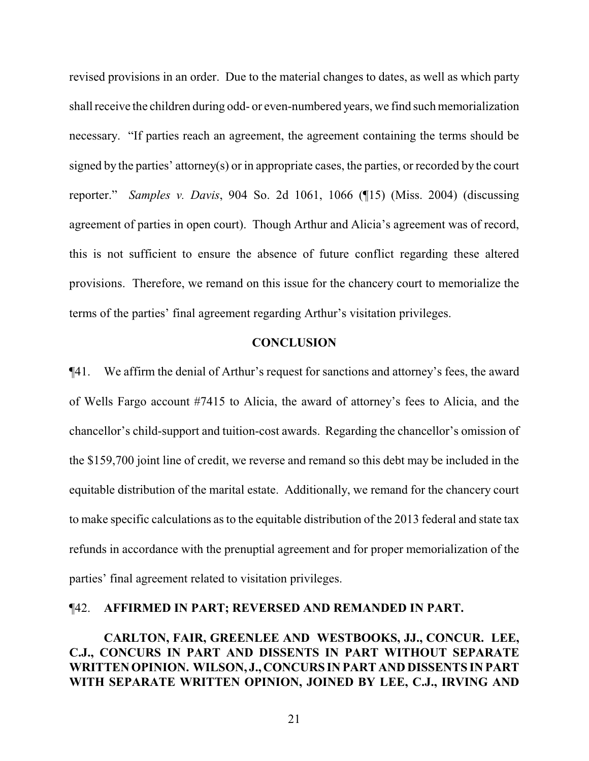revised provisions in an order. Due to the material changes to dates, as well as which party shall receive the children during odd- or even-numbered years, we find such memorialization necessary. "If parties reach an agreement, the agreement containing the terms should be signed by the parties' attorney(s) or in appropriate cases, the parties, or recorded by the court reporter." *Samples v. Davis*, 904 So. 2d 1061, 1066 (¶15) (Miss. 2004) (discussing agreement of parties in open court). Though Arthur and Alicia's agreement was of record, this is not sufficient to ensure the absence of future conflict regarding these altered provisions. Therefore, we remand on this issue for the chancery court to memorialize the terms of the parties' final agreement regarding Arthur's visitation privileges.

## **CONCLUSION**

¶41. We affirm the denial of Arthur's request for sanctions and attorney's fees, the award of Wells Fargo account #7415 to Alicia, the award of attorney's fees to Alicia, and the chancellor's child-support and tuition-cost awards. Regarding the chancellor's omission of the \$159,700 joint line of credit, we reverse and remand so this debt may be included in the equitable distribution of the marital estate. Additionally, we remand for the chancery court to make specific calculations as to the equitable distribution of the 2013 federal and state tax refunds in accordance with the prenuptial agreement and for proper memorialization of the parties' final agreement related to visitation privileges.

## ¶42. **AFFIRMED IN PART; REVERSED AND REMANDED IN PART.**

**CARLTON, FAIR, GREENLEE AND WESTBOOKS, JJ., CONCUR. LEE, C.J., CONCURS IN PART AND DISSENTS IN PART WITHOUT SEPARATE WRITTEN OPINION. WILSON, J., CONCURS IN PART AND DISSENTS IN PART WITH SEPARATE WRITTEN OPINION, JOINED BY LEE, C.J., IRVING AND**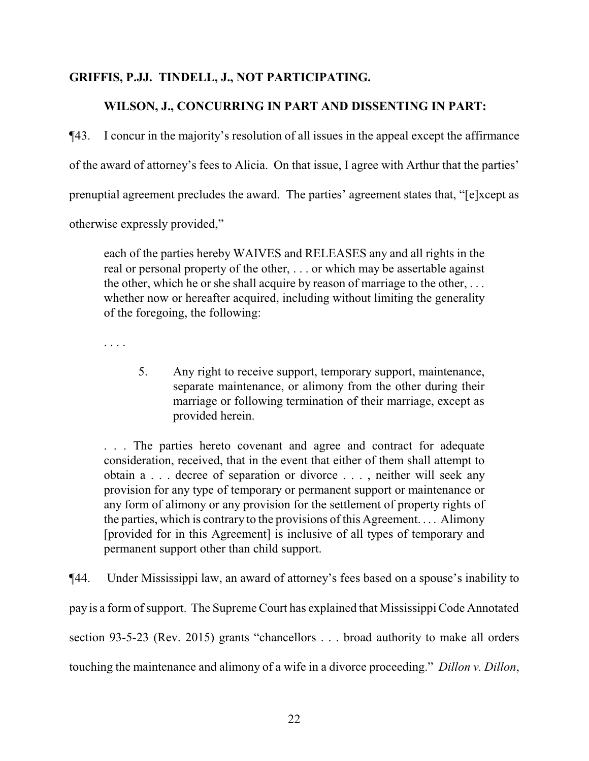# **GRIFFIS, P.JJ. TINDELL, J., NOT PARTICIPATING.**

# **WILSON, J., CONCURRING IN PART AND DISSENTING IN PART:**

¶43. I concur in the majority's resolution of all issues in the appeal except the affirmance of the award of attorney's fees to Alicia. On that issue, I agree with Arthur that the parties' prenuptial agreement precludes the award. The parties' agreement states that, "[e]xcept as otherwise expressly provided,"

each of the parties hereby WAIVES and RELEASES any and all rights in the real or personal property of the other, . . . or which may be assertable against the other, which he or she shall acquire by reason of marriage to the other, . . . whether now or hereafter acquired, including without limiting the generality of the foregoing, the following:

. . . .

5. Any right to receive support, temporary support, maintenance, separate maintenance, or alimony from the other during their marriage or following termination of their marriage, except as provided herein.

. . . The parties hereto covenant and agree and contract for adequate consideration, received, that in the event that either of them shall attempt to obtain a . . . decree of separation or divorce . . . , neither will seek any provision for any type of temporary or permanent support or maintenance or any form of alimony or any provision for the settlement of property rights of the parties, which is contrary to the provisions of this Agreement. . . . Alimony [provided for in this Agreement] is inclusive of all types of temporary and permanent support other than child support.

¶44. Under Mississippi law, an award of attorney's fees based on a spouse's inability to pay is a form ofsupport. The Supreme Court has explained that Mississippi Code Annotated section 93-5-23 (Rev. 2015) grants "chancellors . . . broad authority to make all orders touching the maintenance and alimony of a wife in a divorce proceeding." *Dillon v. Dillon*,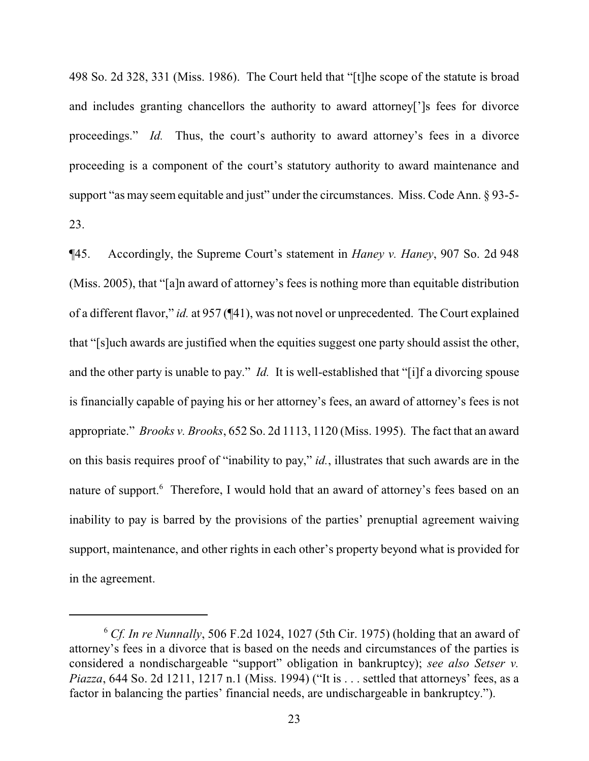498 So. 2d 328, 331 (Miss. 1986). The Court held that "[t]he scope of the statute is broad and includes granting chancellors the authority to award attorney[']s fees for divorce proceedings." *Id.* Thus, the court's authority to award attorney's fees in a divorce proceeding is a component of the court's statutory authority to award maintenance and support "as may seem equitable and just" under the circumstances. Miss. Code Ann. § 93-5-23.

¶45. Accordingly, the Supreme Court's statement in *Haney v. Haney*, 907 So. 2d 948 (Miss. 2005), that "[a]n award of attorney's fees is nothing more than equitable distribution of a different flavor," *id.* at 957 (¶41), was not novel or unprecedented. The Court explained that "[s]uch awards are justified when the equities suggest one party should assist the other, and the other party is unable to pay." *Id.* It is well-established that "[i]f a divorcing spouse is financially capable of paying his or her attorney's fees, an award of attorney's fees is not appropriate." *Brooks v. Brooks*, 652 So. 2d 1113, 1120 (Miss. 1995). The fact that an award on this basis requires proof of "inability to pay," *id.*, illustrates that such awards are in the nature of support.<sup>6</sup> Therefore, I would hold that an award of attorney's fees based on an inability to pay is barred by the provisions of the parties' prenuptial agreement waiving support, maintenance, and other rights in each other's property beyond what is provided for in the agreement.

<sup>6</sup> *Cf. In re Nunnally*, 506 F.2d 1024, 1027 (5th Cir. 1975) (holding that an award of attorney's fees in a divorce that is based on the needs and circumstances of the parties is considered a nondischargeable "support" obligation in bankruptcy); *see also Setser v. Piazza*, 644 So. 2d 1211, 1217 n.1 (Miss. 1994) ("It is . . . settled that attorneys' fees, as a factor in balancing the parties' financial needs, are undischargeable in bankruptcy.").